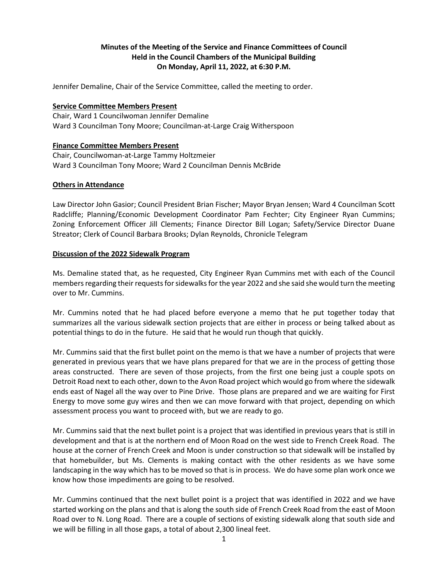# **Minutes of the Meeting of the Service and Finance Committees of Council Held in the Council Chambers of the Municipal Building On Monday, April 11, 2022, at 6:30 P.M.**

Jennifer Demaline, Chair of the Service Committee, called the meeting to order.

### **Service Committee Members Present**

Chair, Ward 1 Councilwoman Jennifer Demaline Ward 3 Councilman Tony Moore; Councilman-at-Large Craig Witherspoon

## **Finance Committee Members Present**

Chair, Councilwoman-at-Large Tammy Holtzmeier Ward 3 Councilman Tony Moore; Ward 2 Councilman Dennis McBride

## **Others in Attendance**

Law Director John Gasior; Council President Brian Fischer; Mayor Bryan Jensen; Ward 4 Councilman Scott Radcliffe; Planning/Economic Development Coordinator Pam Fechter; City Engineer Ryan Cummins; Zoning Enforcement Officer Jill Clements; Finance Director Bill Logan; Safety/Service Director Duane Streator; Clerk of Council Barbara Brooks; Dylan Reynolds, Chronicle Telegram

### **Discussion of the 2022 Sidewalk Program**

Ms. Demaline stated that, as he requested, City Engineer Ryan Cummins met with each of the Council members regarding their requests for sidewalks for the year 2022 and she said she would turn the meeting over to Mr. Cummins.

Mr. Cummins noted that he had placed before everyone a memo that he put together today that summarizes all the various sidewalk section projects that are either in process or being talked about as potential things to do in the future. He said that he would run though that quickly.

Mr. Cummins said that the first bullet point on the memo is that we have a number of projects that were generated in previous years that we have plans prepared for that we are in the process of getting those areas constructed. There are seven of those projects, from the first one being just a couple spots on Detroit Road next to each other, down to the Avon Road project which would go from where the sidewalk ends east of Nagel all the way over to Pine Drive. Those plans are prepared and we are waiting for First Energy to move some guy wires and then we can move forward with that project, depending on which assessment process you want to proceed with, but we are ready to go.

Mr. Cummins said that the next bullet point is a project that was identified in previous years that is still in development and that is at the northern end of Moon Road on the west side to French Creek Road. The house at the corner of French Creek and Moon is under construction so that sidewalk will be installed by that homebuilder, but Ms. Clements is making contact with the other residents as we have some landscaping in the way which has to be moved so that is in process. We do have some plan work once we know how those impediments are going to be resolved.

Mr. Cummins continued that the next bullet point is a project that was identified in 2022 and we have started working on the plans and that is along the south side of French Creek Road from the east of Moon Road over to N. Long Road. There are a couple of sections of existing sidewalk along that south side and we will be filling in all those gaps, a total of about 2,300 lineal feet.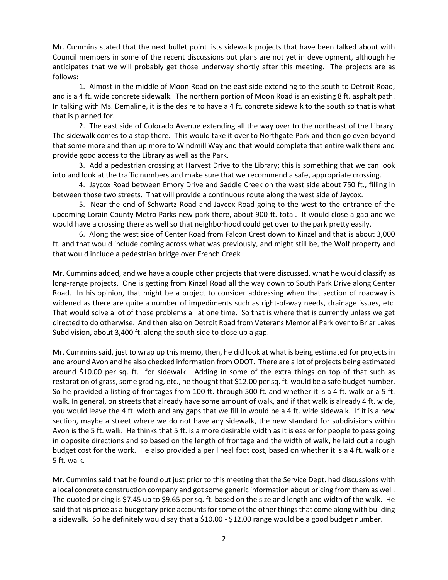Mr. Cummins stated that the next bullet point lists sidewalk projects that have been talked about with Council members in some of the recent discussions but plans are not yet in development, although he anticipates that we will probably get those underway shortly after this meeting. The projects are as follows:

1. Almost in the middle of Moon Road on the east side extending to the south to Detroit Road, and is a 4 ft. wide concrete sidewalk. The northern portion of Moon Road is an existing 8 ft. asphalt path. In talking with Ms. Demaline, it is the desire to have a 4 ft. concrete sidewalk to the south so that is what that is planned for.

2. The east side of Colorado Avenue extending all the way over to the northeast of the Library. The sidewalk comes to a stop there. This would take it over to Northgate Park and then go even beyond that some more and then up more to Windmill Way and that would complete that entire walk there and provide good access to the Library as well as the Park.

3. Add a pedestrian crossing at Harvest Drive to the Library; this is something that we can look into and look at the traffic numbers and make sure that we recommend a safe, appropriate crossing.

4. Jaycox Road between Emory Drive and Saddle Creek on the west side about 750 ft., filling in between those two streets. That will provide a continuous route along the west side of Jaycox.

5. Near the end of Schwartz Road and Jaycox Road going to the west to the entrance of the upcoming Lorain County Metro Parks new park there, about 900 ft. total. It would close a gap and we would have a crossing there as well so that neighborhood could get over to the park pretty easily.

6. Along the west side of Center Road from Falcon Crest down to Kinzel and that is about 3,000 ft. and that would include coming across what was previously, and might still be, the Wolf property and that would include a pedestrian bridge over French Creek

Mr. Cummins added, and we have a couple other projects that were discussed, what he would classify as long-range projects. One is getting from Kinzel Road all the way down to South Park Drive along Center Road. In his opinion, that might be a project to consider addressing when that section of roadway is widened as there are quite a number of impediments such as right-of-way needs, drainage issues, etc. That would solve a lot of those problems all at one time. So that is where that is currently unless we get directed to do otherwise. And then also on Detroit Road from Veterans Memorial Park over to Briar Lakes Subdivision, about 3,400 ft. along the south side to close up a gap.

Mr. Cummins said, just to wrap up this memo, then, he did look at what is being estimated for projects in and around Avon and he also checked information from ODOT. There are a lot of projects being estimated around \$10.00 per sq. ft. for sidewalk. Adding in some of the extra things on top of that such as restoration of grass, some grading, etc., he thought that \$12.00 per sq. ft. would be a safe budget number. So he provided a listing of frontages from 100 ft. through 500 ft. and whether it is a 4 ft. walk or a 5 ft. walk. In general, on streets that already have some amount of walk, and if that walk is already 4 ft. wide, you would leave the 4 ft. width and any gaps that we fill in would be a 4 ft. wide sidewalk. If it is a new section, maybe a street where we do not have any sidewalk, the new standard for subdivisions within Avon is the 5 ft. walk. He thinks that 5 ft. is a more desirable width as it is easier for people to pass going in opposite directions and so based on the length of frontage and the width of walk, he laid out a rough budget cost for the work. He also provided a per lineal foot cost, based on whether it is a 4 ft. walk or a 5 ft. walk.

Mr. Cummins said that he found out just prior to this meeting that the Service Dept. had discussions with a local concrete construction company and got some generic information about pricing from them as well. The quoted pricing is \$7.45 up to \$9.65 per sq. ft. based on the size and length and width of the walk. He said that his price as a budgetary price accounts for some of the other things that come along with building a sidewalk. So he definitely would say that a \$10.00 - \$12.00 range would be a good budget number.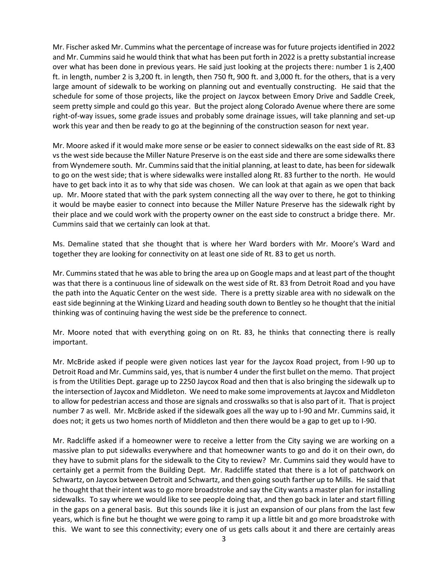Mr. Fischer asked Mr. Cummins what the percentage of increase was for future projects identified in 2022 and Mr. Cummins said he would think that what has been put forth in 2022 is a pretty substantial increase over what has been done in previous years. He said just looking at the projects there: number 1 is 2,400 ft. in length, number 2 is 3,200 ft. in length, then 750 ft, 900 ft. and 3,000 ft. for the others, that is a very large amount of sidewalk to be working on planning out and eventually constructing. He said that the schedule for some of those projects, like the project on Jaycox between Emory Drive and Saddle Creek, seem pretty simple and could go this year. But the project along Colorado Avenue where there are some right-of-way issues, some grade issues and probably some drainage issues, will take planning and set-up work this year and then be ready to go at the beginning of the construction season for next year.

Mr. Moore asked if it would make more sense or be easier to connect sidewalks on the east side of Rt. 83 vs the west side because the Miller Nature Preserve is on the east side and there are some sidewalks there from Wyndemere south. Mr. Cummins said that the initial planning, at least to date, has been for sidewalk to go on the west side; that is where sidewalks were installed along Rt. 83 further to the north. He would have to get back into it as to why that side was chosen. We can look at that again as we open that back up. Mr. Moore stated that with the park system connecting all the way over to there, he got to thinking it would be maybe easier to connect into because the Miller Nature Preserve has the sidewalk right by their place and we could work with the property owner on the east side to construct a bridge there. Mr. Cummins said that we certainly can look at that.

Ms. Demaline stated that she thought that is where her Ward borders with Mr. Moore's Ward and together they are looking for connectivity on at least one side of Rt. 83 to get us north.

Mr. Cummins stated that he was able to bring the area up on Google maps and at least part of the thought was that there is a continuous line of sidewalk on the west side of Rt. 83 from Detroit Road and you have the path into the Aquatic Center on the west side. There is a pretty sizable area with no sidewalk on the east side beginning at the Winking Lizard and heading south down to Bentley so he thought that the initial thinking was of continuing having the west side be the preference to connect.

Mr. Moore noted that with everything going on on Rt. 83, he thinks that connecting there is really important.

Mr. McBride asked if people were given notices last year for the Jaycox Road project, from I-90 up to Detroit Road and Mr. Cummins said, yes, that is number 4 under the first bullet on the memo. That project is from the Utilities Dept. garage up to 2250 Jaycox Road and then that is also bringing the sidewalk up to the intersection of Jaycox and Middleton. We need to make some improvements at Jaycox and Middleton to allow for pedestrian access and those are signals and crosswalks so that is also part of it. That is project number 7 as well. Mr. McBride asked if the sidewalk goes all the way up to I-90 and Mr. Cummins said, it does not; it gets us two homes north of Middleton and then there would be a gap to get up to I-90.

Mr. Radcliffe asked if a homeowner were to receive a letter from the City saying we are working on a massive plan to put sidewalks everywhere and that homeowner wants to go and do it on their own, do they have to submit plans for the sidewalk to the City to review? Mr. Cummins said they would have to certainly get a permit from the Building Dept. Mr. Radcliffe stated that there is a lot of patchwork on Schwartz, on Jaycox between Detroit and Schwartz, and then going south farther up to Mills. He said that he thought that their intent was to go more broadstroke and say the City wants a master plan for installing sidewalks. To say where we would like to see people doing that, and then go back in later and start filling in the gaps on a general basis. But this sounds like it is just an expansion of our plans from the last few years, which is fine but he thought we were going to ramp it up a little bit and go more broadstroke with this. We want to see this connectivity; every one of us gets calls about it and there are certainly areas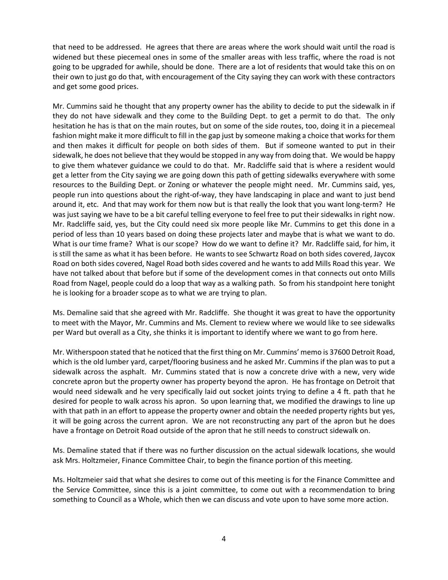that need to be addressed. He agrees that there are areas where the work should wait until the road is widened but these piecemeal ones in some of the smaller areas with less traffic, where the road is not going to be upgraded for awhile, should be done. There are a lot of residents that would take this on on their own to just go do that, with encouragement of the City saying they can work with these contractors and get some good prices.

Mr. Cummins said he thought that any property owner has the ability to decide to put the sidewalk in if they do not have sidewalk and they come to the Building Dept. to get a permit to do that. The only hesitation he has is that on the main routes, but on some of the side routes, too, doing it in a piecemeal fashion might make it more difficult to fill in the gap just by someone making a choice that works for them and then makes it difficult for people on both sides of them. But if someone wanted to put in their sidewalk, he does not believe that they would be stopped in any way from doing that. We would be happy to give them whatever guidance we could to do that. Mr. Radcliffe said that is where a resident would get a letter from the City saying we are going down this path of getting sidewalks everywhere with some resources to the Building Dept. or Zoning or whatever the people might need. Mr. Cummins said, yes, people run into questions about the right-of-way, they have landscaping in place and want to just bend around it, etc. And that may work for them now but is that really the look that you want long-term? He was just saying we have to be a bit careful telling everyone to feel free to put their sidewalks in right now. Mr. Radcliffe said, yes, but the City could need six more people like Mr. Cummins to get this done in a period of less than 10 years based on doing these projects later and maybe that is what we want to do. What is our time frame? What is our scope? How do we want to define it? Mr. Radcliffe said, for him, it is still the same as what it has been before. He wants to see Schwartz Road on both sides covered, Jaycox Road on both sides covered, Nagel Road both sides covered and he wants to add Mills Road this year. We have not talked about that before but if some of the development comes in that connects out onto Mills Road from Nagel, people could do a loop that way as a walking path. So from his standpoint here tonight he is looking for a broader scope as to what we are trying to plan.

Ms. Demaline said that she agreed with Mr. Radcliffe. She thought it was great to have the opportunity to meet with the Mayor, Mr. Cummins and Ms. Clement to review where we would like to see sidewalks per Ward but overall as a City, she thinks it is important to identify where we want to go from here.

Mr. Witherspoon stated that he noticed that the first thing on Mr. Cummins' memo is 37600 Detroit Road, which is the old lumber yard, carpet/flooring business and he asked Mr. Cummins if the plan was to put a sidewalk across the asphalt. Mr. Cummins stated that is now a concrete drive with a new, very wide concrete apron but the property owner has property beyond the apron. He has frontage on Detroit that would need sidewalk and he very specifically laid out socket joints trying to define a 4 ft. path that he desired for people to walk across his apron. So upon learning that, we modified the drawings to line up with that path in an effort to appease the property owner and obtain the needed property rights but yes, it will be going across the current apron. We are not reconstructing any part of the apron but he does have a frontage on Detroit Road outside of the apron that he still needs to construct sidewalk on.

Ms. Demaline stated that if there was no further discussion on the actual sidewalk locations, she would ask Mrs. Holtzmeier, Finance Committee Chair, to begin the finance portion of this meeting.

Ms. Holtzmeier said that what she desires to come out of this meeting is for the Finance Committee and the Service Committee, since this is a joint committee, to come out with a recommendation to bring something to Council as a Whole, which then we can discuss and vote upon to have some more action.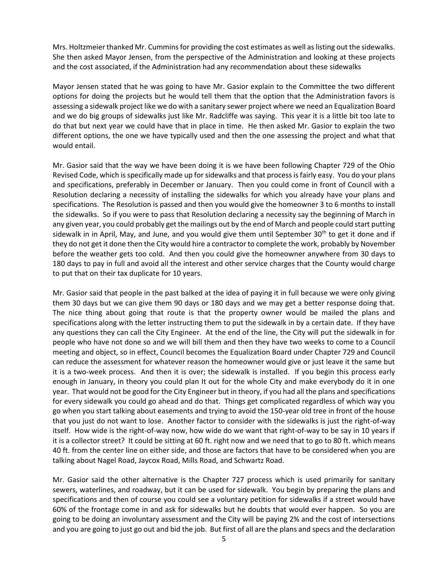Mrs. Holtzmeier thanked Mr. Cummins for providing the cost estimates as well as listing out the sidewalks. She then asked Mayor Jensen, from the perspective of the Administration and looking at these projects and the cost associated, if the Administration had any recommendation about these sidewalks

Mayor Jensen stated that he was going to have Mr. Gasior explain to the Committee the two different options for doing the projects but he would tell them that the option that the Administration favors is assessing a sidewalk project like we do with a sanitary sewer project where we need an Equalization Board and we do big groups of sidewalks just like Mr. Radcliffe was saying. This year it is a little bit too late to do that but next year we could have that in place in time. He then asked Mr. Gasior to explain the two different options, the one we have typically used and then the one assessing the project and what that would entail.

Mr. Gasior said that the way we have been doing it is we have been following Chapter 729 of the Ohio Revised Code, which is specifically made up for sidewalks and that process is fairly easy. You do your plans and specifications, preferably in December or January. Then you could come in front of Council with a Resolution declaring a necessity of installing the sidewalks for which you already have your plans and specifications. The Resolution is passed and then you would give the homeowner 3 to 6 months to install the sidewalks. So if you were to pass that Resolution declaring a necessity say the beginning of March in any given year, you could probably get the mailings out by the end of March and people could start putting sidewalk in in April, May, and June, and you would give them until September 30<sup>th</sup> to get it done and if they do not get it done then the City would hire a contractor to complete the work, probably by November before the weather gets too cold. And then you could give the homeowner anywhere from 30 days to 180 days to pay in full and avoid all the interest and other service charges that the County would charge to put that on their tax duplicate for 10 years.

Mr. Gasior said that people in the past balked at the idea of paying it in full because we were only giving them 30 days but we can give them 90 days or 180 days and we may get a better response doing that. The nice thing about going that route is that the property owner would be mailed the plans and specifications along with the letter instructing them to put the sidewalk in by a certain date. If they have any questions they can call the City Engineer. At the end of the line, the City will put the sidewalk in for people who have not done so and we will bill them and then they have two weeks to come to a Council meeting and object, so in effect, Council becomes the Equalization Board under Chapter 729 and Council can reduce the assessment for whatever reason the homeowner would give or just leave it the same but it is a two-week process. And then it is over; the sidewalk is installed. If you begin this process early enough in January, in theory you could plan It out for the whole City and make everybody do it in one year. That would not be good for the City Engineer but in theory, if you had all the plans and specifications for every sidewalk you could go ahead and do that. Things get complicated regardless of which way you go when you start talking about easements and trying to avoid the 150-year old tree in front of the house that you just do not want to lose. Another factor to consider with the sidewalks is just the right-of-way itself. How wide is the right-of-way now, how wide do we want that right-of-way to be say in 10 years if it is a collector street? It could be sitting at 60 ft. right now and we need that to go to 80 ft. which means 40 ft. from the center line on either side, and those are factors that have to be considered when you are talking about Nagel Road, Jaycox Road, Mills Road, and Schwartz Road.

Mr. Gasior said the other alternative is the Chapter 727 process which is used primarily for sanitary sewers, waterlines, and roadway, but it can be used for sidewalk. You begin by preparing the plans and specifications and then of course you could see a voluntary petition for sidewalks if a street would have 60% of the frontage come in and ask for sidewalks but he doubts that would ever happen. So you are going to be doing an involuntary assessment and the City will be paying 2% and the cost of intersections and you are going to just go out and bid the job. But first of all are the plans and specs and the declaration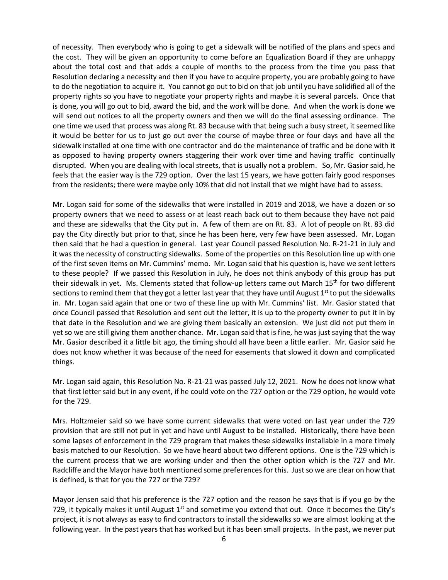of necessity. Then everybody who is going to get a sidewalk will be notified of the plans and specs and the cost. They will be given an opportunity to come before an Equalization Board if they are unhappy about the total cost and that adds a couple of months to the process from the time you pass that Resolution declaring a necessity and then if you have to acquire property, you are probably going to have to do the negotiation to acquire it. You cannot go out to bid on that job until you have solidified all of the property rights so you have to negotiate your property rights and maybe it is several parcels. Once that is done, you will go out to bid, award the bid, and the work will be done. And when the work is done we will send out notices to all the property owners and then we will do the final assessing ordinance. The one time we used that process was along Rt. 83 because with that being such a busy street, it seemed like it would be better for us to just go out over the course of maybe three or four days and have all the sidewalk installed at one time with one contractor and do the maintenance of traffic and be done with it as opposed to having property owners staggering their work over time and having traffic continually disrupted. When you are dealing with local streets, that is usually not a problem. So, Mr. Gasior said, he feels that the easier way is the 729 option. Over the last 15 years, we have gotten fairly good responses from the residents; there were maybe only 10% that did not install that we might have had to assess.

Mr. Logan said for some of the sidewalks that were installed in 2019 and 2018, we have a dozen or so property owners that we need to assess or at least reach back out to them because they have not paid and these are sidewalks that the City put in. A few of them are on Rt. 83. A lot of people on Rt. 83 did pay the City directly but prior to that, since he has been here, very few have been assessed. Mr. Logan then said that he had a question in general. Last year Council passed Resolution No. R-21-21 in July and it was the necessity of constructing sidewalks. Some of the properties on this Resolution line up with one of the first seven items on Mr. Cummins' memo. Mr. Logan said that his question is, have we sent letters to these people? If we passed this Resolution in July, he does not think anybody of this group has put their sidewalk in yet. Ms. Clements stated that follow-up letters came out March 15<sup>th</sup> for two different sections to remind them that they got a letter last year that they have until August  $1<sup>st</sup>$  to put the sidewalks in. Mr. Logan said again that one or two of these line up with Mr. Cummins' list. Mr. Gasior stated that once Council passed that Resolution and sent out the letter, it is up to the property owner to put it in by that date in the Resolution and we are giving them basically an extension. We just did not put them in yet so we are still giving them another chance. Mr. Logan said that is fine, he was just saying that the way Mr. Gasior described it a little bit ago, the timing should all have been a little earlier. Mr. Gasior said he does not know whether it was because of the need for easements that slowed it down and complicated things.

Mr. Logan said again, this Resolution No. R-21-21 was passed July 12, 2021. Now he does not know what that first letter said but in any event, if he could vote on the 727 option or the 729 option, he would vote for the 729.

Mrs. Holtzmeier said so we have some current sidewalks that were voted on last year under the 729 provision that are still not put in yet and have until August to be installed. Historically, there have been some lapses of enforcement in the 729 program that makes these sidewalks installable in a more timely basis matched to our Resolution. So we have heard about two different options. One is the 729 which is the current process that we are working under and then the other option which is the 727 and Mr. Radcliffe and the Mayor have both mentioned some preferences for this. Just so we are clear on how that is defined, is that for you the 727 or the 729?

Mayor Jensen said that his preference is the 727 option and the reason he says that is if you go by the 729, it typically makes it until August  $1<sup>st</sup>$  and sometime you extend that out. Once it becomes the City's project, it is not always as easy to find contractors to install the sidewalks so we are almost looking at the following year. In the past years that has worked but it has been small projects. In the past, we never put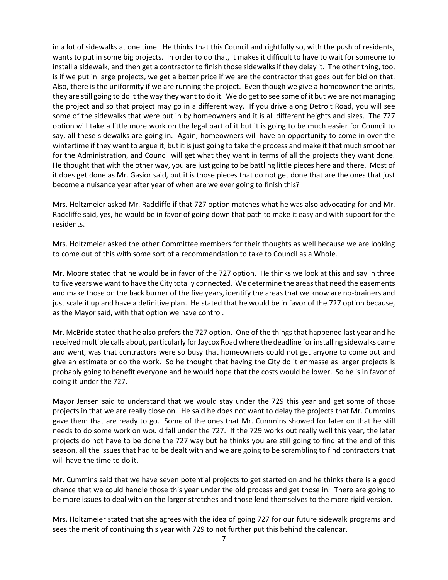in a lot of sidewalks at one time. He thinks that this Council and rightfully so, with the push of residents, wants to put in some big projects. In order to do that, it makes it difficult to have to wait for someone to install a sidewalk, and then get a contractor to finish those sidewalks if they delay it. The other thing, too, is if we put in large projects, we get a better price if we are the contractor that goes out for bid on that. Also, there is the uniformity if we are running the project. Even though we give a homeowner the prints, they are still going to do it the way they want to do it. We do get to see some of it but we are not managing the project and so that project may go in a different way. If you drive along Detroit Road, you will see some of the sidewalks that were put in by homeowners and it is all different heights and sizes. The 727 option will take a little more work on the legal part of it but it is going to be much easier for Council to say, all these sidewalks are going in. Again, homeowners will have an opportunity to come in over the wintertime if they want to argue it, but it is just going to take the process and make it that much smoother for the Administration, and Council will get what they want in terms of all the projects they want done. He thought that with the other way, you are just going to be battling little pieces here and there. Most of it does get done as Mr. Gasior said, but it is those pieces that do not get done that are the ones that just become a nuisance year after year of when are we ever going to finish this?

Mrs. Holtzmeier asked Mr. Radcliffe if that 727 option matches what he was also advocating for and Mr. Radcliffe said, yes, he would be in favor of going down that path to make it easy and with support for the residents.

Mrs. Holtzmeier asked the other Committee members for their thoughts as well because we are looking to come out of this with some sort of a recommendation to take to Council as a Whole.

Mr. Moore stated that he would be in favor of the 727 option. He thinks we look at this and say in three to five years we want to have the City totally connected. We determine the areas that need the easements and make those on the back burner of the five years, identify the areas that we know are no-brainers and just scale it up and have a definitive plan. He stated that he would be in favor of the 727 option because, as the Mayor said, with that option we have control.

Mr. McBride stated that he also prefers the 727 option. One of the things that happened last year and he received multiple calls about, particularly for Jaycox Road where the deadline for installing sidewalks came and went, was that contractors were so busy that homeowners could not get anyone to come out and give an estimate or do the work. So he thought that having the City do it enmasse as larger projects is probably going to benefit everyone and he would hope that the costs would be lower. So he is in favor of doing it under the 727.

Mayor Jensen said to understand that we would stay under the 729 this year and get some of those projects in that we are really close on. He said he does not want to delay the projects that Mr. Cummins gave them that are ready to go. Some of the ones that Mr. Cummins showed for later on that he still needs to do some work on would fall under the 727. If the 729 works out really well this year, the later projects do not have to be done the 727 way but he thinks you are still going to find at the end of this season, all the issues that had to be dealt with and we are going to be scrambling to find contractors that will have the time to do it.

Mr. Cummins said that we have seven potential projects to get started on and he thinks there is a good chance that we could handle those this year under the old process and get those in. There are going to be more issues to deal with on the larger stretches and those lend themselves to the more rigid version.

Mrs. Holtzmeier stated that she agrees with the idea of going 727 for our future sidewalk programs and sees the merit of continuing this year with 729 to not further put this behind the calendar.